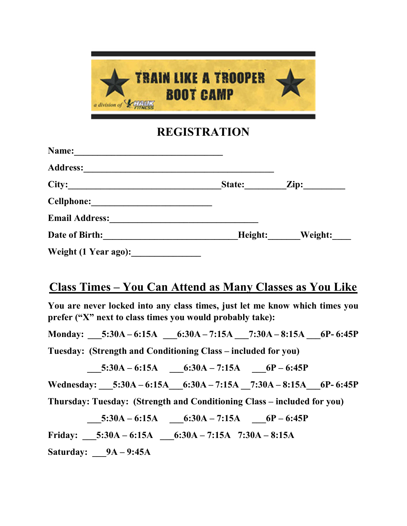

## REGISTRATION

| Name:                 |         |                  |
|-----------------------|---------|------------------|
| <b>Address:</b>       |         |                  |
| City:                 | State:  | $\mathbf{Zip: }$ |
| <b>Cellphone:</b>     |         |                  |
| <b>Email Address:</b> |         |                  |
| Date of Birth:        | Height: | Weight:          |
| Weight (1 Year ago):  |         |                  |

# Class Times – You Can Attend as Many Classes as You Like

You are never locked into any class times, just let me know which times you prefer ("X" next to class times you would probably take):

Monday: \_\_\_\_\_5:30A – 6:15A \_\_\_\_\_\_6:30A – 7:15A \_\_\_\_\_7:30A – 8:15A \_\_\_\_\_\_\_\_6P- 6:45P

Tuesday: (Strength and Conditioning Class – included for you)

$$
5:30A - 6:15A \t\t -6:30A - 7:15A \t\t -6P - 6:45P
$$

Wednesday:  $5:30A - 6:15A$   $6:30A - 7:15A$   $7:30A - 8:15A$   $6P - 6:45P$ 

Thursday: Tuesday: (Strength and Conditioning Class – included for you)

 $5:30A - 6:15A$   $6:30A - 7:15A$   $6P - 6:45P$ Friday: \_\_\_5:30A – 6:15A \_\_\_6:30A – 7:15A 7:30A – 8:15A Saturday: 9A – 9:45A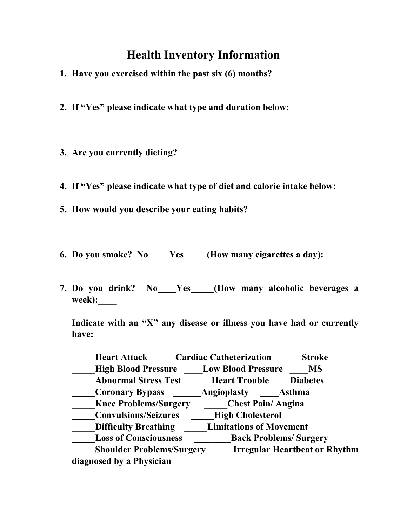## Health Inventory Information

- 1. Have you exercised within the past six (6) months?
- 2. If "Yes" please indicate what type and duration below:
- 3. Are you currently dieting?
- 4. If "Yes" please indicate what type of diet and calorie intake below:
- 5. How would you describe your eating habits?
- 6. Do you smoke? No Yes (How many cigarettes a day):
- 7. Do you drink? No Yes (How many alcoholic beverages a week):

Indicate with an "X" any disease or illness you have had or currently have:

| <b>Heart Attack</b>              | <b>Cardiac Catheterization</b> | <b>Stroke</b>                        |
|----------------------------------|--------------------------------|--------------------------------------|
| <b>High Blood Pressure</b>       | <b>Low Blood Pressure</b>      | <b>MS</b>                            |
| <b>Abnormal Stress Test</b>      | <b>Heart Trouble</b>           | <b>Diabetes</b>                      |
| <b>Coronary Bypass</b>           | <b>Angioplasty</b>             | Asthma                               |
| <b>Knee Problems/Surgery</b>     | <b>Chest Pain/Angina</b>       |                                      |
| <b>Convulsions/Seizures</b>      | <b>High Cholesterol</b>        |                                      |
| <b>Difficulty Breathing</b>      | <b>Limitations of Movement</b> |                                      |
| <b>Loss of Consciousness</b>     | <b>Back Problems/ Surgery</b>  |                                      |
| <b>Shoulder Problems/Surgery</b> |                                | <b>Irregular Heartbeat or Rhythm</b> |
| diagnosed by a Physician         |                                |                                      |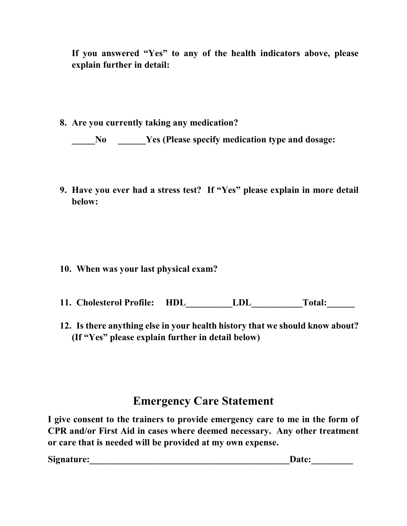If you answered "Yes" to any of the health indicators above, please explain further in detail:

8. Are you currently taking any medication?

No Yes (Please specify medication type and dosage:

9. Have you ever had a stress test? If "Yes" please explain in more detail below:

- 10. When was your last physical exam?
- 11. Cholesterol Profile: HDL LDL Total:
- 12. Is there anything else in your health history that we should know about? (If "Yes" please explain further in detail below)

#### Emergency Care Statement

I give consent to the trainers to provide emergency care to me in the form of CPR and/or First Aid in cases where deemed necessary. Any other treatment or care that is needed will be provided at my own expense.

Signature: etc. and the set of the set of the set of the set of the set of the set of the set of the set of the set of the set of the set of the set of the set of the set of the set of the set of the set of the set of the